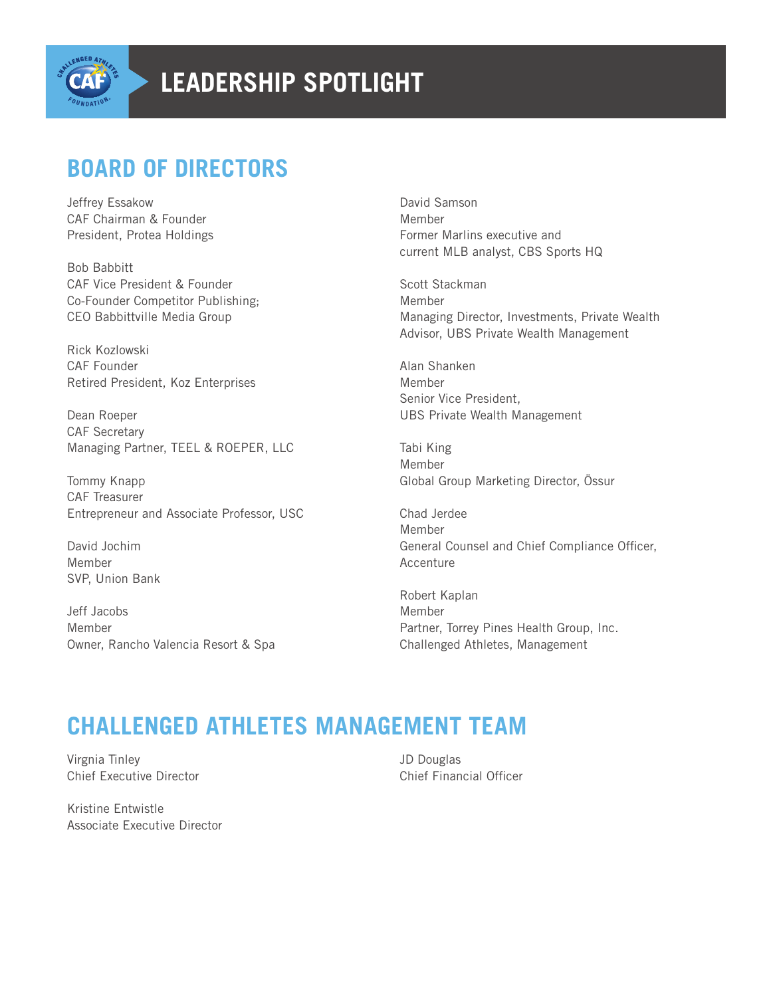

## **BOARD OF DIRECTORS**

Jeffrey Essakow CAF Chairman & Founder President, Protea Holdings

Bob Babbitt CAF Vice President & Founder Co-Founder Competitor Publishing; CEO Babbittville Media Group

Rick Kozlowski CAF Founder Retired President, Koz Enterprises

Dean Roeper CAF Secretary Managing Partner, TEEL & ROEPER, LLC

Tommy Knapp CAF Treasurer Entrepreneur and Associate Professor, USC

David Jochim Member SVP, Union Bank

Jeff Jacobs Member Owner, Rancho Valencia Resort & Spa David Samson Member Former Marlins executive and current MLB analyst, CBS Sports HQ

Scott Stackman Member Managing Director, Investments, Private Wealth Advisor, UBS Private Wealth Management

Alan Shanken Member Senior Vice President, UBS Private Wealth Management

Tabi King Member Global Group Marketing Director, Össur

Chad Jerdee Member General Counsel and Chief Compliance Officer, Accenture

Robert Kaplan Member Partner, Torrey Pines Health Group, Inc. Challenged Athletes, Management

## **CHALLENGED ATHLETES MANAGEMENT TEAM**

Virgnia Tinley Chief Executive Director

Kristine Entwistle Associate Executive Director JD Douglas Chief Financial Officer